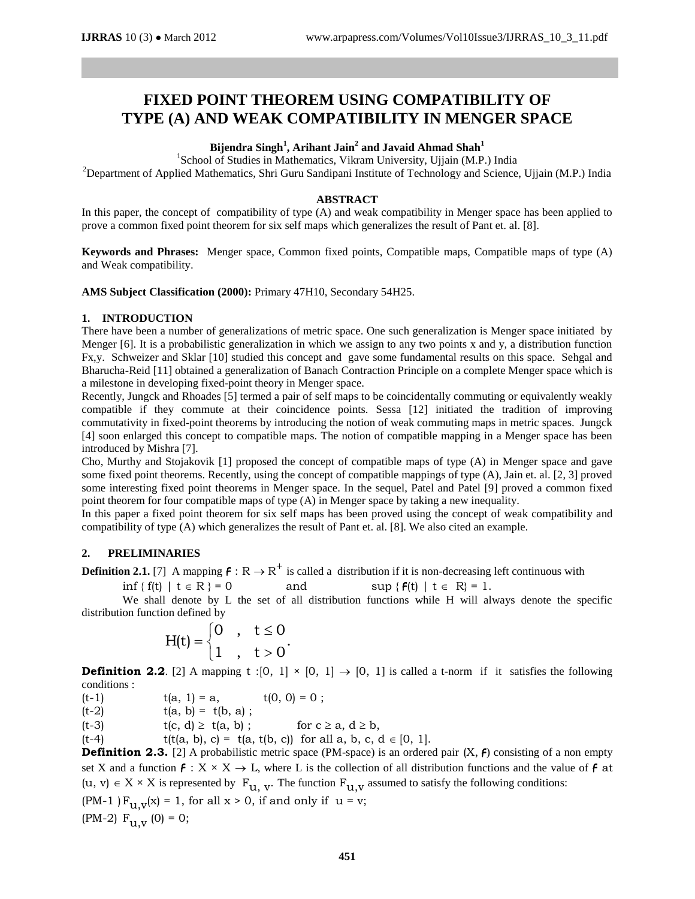# **FIXED POINT THEOREM USING COMPATIBILITY OF TYPE (A) AND WEAK COMPATIBILITY IN MENGER SPACE**

## **Bijendra Singh<sup>1</sup> , Arihant Jain<sup>2</sup> and Javaid Ahmad Shah<sup>1</sup>**

<sup>1</sup>School of Studies in Mathematics, Vikram University, Ujjain (M.P.) India <sup>2</sup>Department of Applied Mathematics, Shri Guru Sandipani Institute of Technology and Science, Ujjain (M.P.) India

#### **ABSTRACT**

In this paper, the concept of compatibility of type (A) and weak compatibility in Menger space has been applied to prove a common fixed point theorem for six self maps which generalizes the result of Pant et. al. [8].

**Keywords and Phrases:** Menger space, Common fixed points, Compatible maps, Compatible maps of type (A) and Weak compatibility.

**AMS Subject Classification (2000):** Primary 47H10, Secondary 54H25.

## **1. INTRODUCTION**

There have been a number of generalizations of metric space. One such generalization is Menger space initiated by Menger [6]. It is a probabilistic generalization in which we assign to any two points x and y, a distribution function Fx,y. Schweizer and Sklar [10] studied this concept and gave some fundamental results on this space. Sehgal and Bharucha-Reid [11] obtained a generalization of Banach Contraction Principle on a complete Menger space which is a milestone in developing fixed-point theory in Menger space.

Recently, Jungck and Rhoades [5] termed a pair of self maps to be coincidentally commuting or equivalently weakly compatible if they commute at their coincidence points. Sessa [12] initiated the tradition of improving commutativity in fixed-point theorems by introducing the notion of weak commuting maps in metric spaces. Jungck [4] soon enlarged this concept to compatible maps. The notion of compatible mapping in a Menger space has been introduced by Mishra [7].

Cho, Murthy and Stojakovik [1] proposed the concept of compatible maps of type (A) in Menger space and gave some fixed point theorems. Recently, using the concept of compatible mappings of type (A), Jain et. al. [2, 3] proved some interesting fixed point theorems in Menger space. In the sequel, Patel and Patel [9] proved a common fixed point theorem for four compatible maps of type (A) in Menger space by taking a new inequality.

In this paper a fixed point theorem for six self maps has been proved using the concept of weak compatibility and compatibility of type (A) which generalizes the result of Pant et. al. [8]. We also cited an example.

## **2. PRELIMINARIES**

**Definition 2.1.** [7] A mapping  $f: \mathbb{R} \to \mathbb{R}^+$  is called a distribution if it is non-decreasing left continuous with

$$
\inf \{ f(t) \mid t \in R \} = 0 \qquad \text{and} \qquad \sup \{ f(t) \mid t \in R \} = 1.
$$

We shall denote by L the set of all distribution functions while H will always denote the specific distribution function defined by

$$
H(t) = \begin{cases} 0, & t \leq 0 \\ 1, & t > 0 \end{cases}
$$

**Definition 2.2**. [2] A mapping t :[0, 1]  $\times$  [0, 1]  $\rightarrow$  [0, 1] is called a t-norm if it satisfies the following conditions :

(t-1)  $t(a, 1) = a$ ,  $t(0, 0) = 0$ ;

 $(t-2)$   $t(a, b) = t(b, a)$ ;

(t-3)  $t(c, d) \ge t(a, b)$ ; for  $c \ge a, d \ge b$ ,

(t-4) t(t(a, b), c) = t(a, t(b, c)) for all a, b, c, d  $\in$  [0, 1].

**Definition 2.3.** [2] A probabilistic metric space (PM-space) is an ordered pair  $(X, f)$  consisting of a non empty set X and a function  $f: X \times X \to L$ , where L is the collection of all distribution functions and the value of f at  $(u, v) \in X \times X$  is represented by  $F_{u, v}$ . The function  $F_{u, v}$  assumed to satisfy the following conditions: (PM-1) $F_{11.v}(x) = 1$ , for all  $x > 0$ , if and only if  $u = v$ ; (PM-2)  $F_{11.V}$  (0) = 0;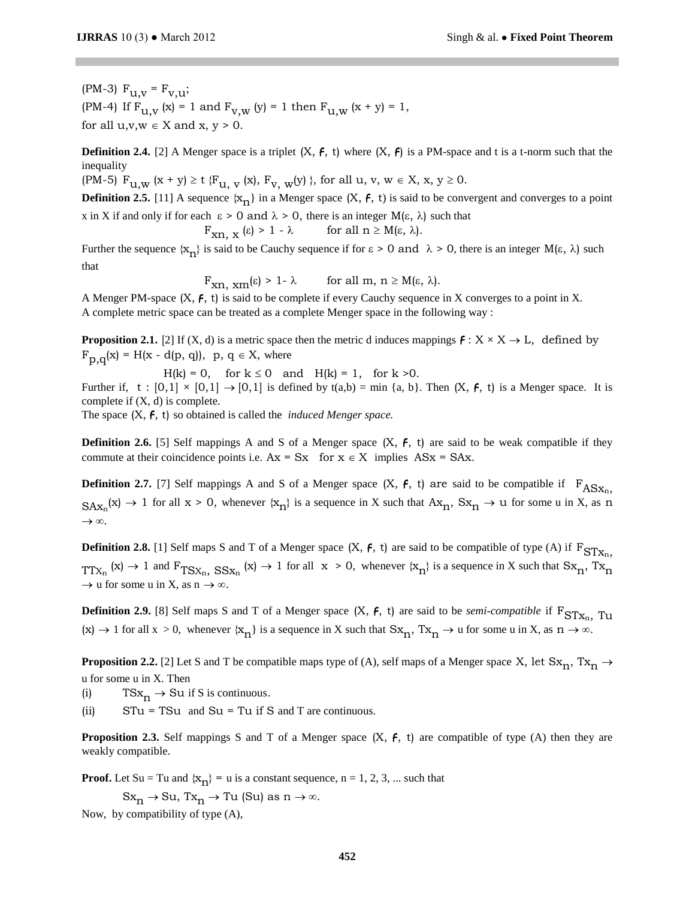(PM-3)  $F_{U,V} = F_{V,U};$ (PM-4) If  $F_{U,V} (x) = 1$  and  $F_{V,W} (y) = 1$  then  $F_{U,W} (x + y) = 1$ , for all  $u, v, w \in X$  and  $x, y > 0$ .

**Definition 2.4.** [2] A Menger space is a triplet  $(X, f, t)$  where  $(X, f)$  is a PM-space and t is a t-norm such that the inequality

(PM-5)  $F_{U,W} (x + y) \ge t \{F_{U,W}(x), F_{V,W}(y) \}$ , for all  $u, v, w \in X$ ,  $x, y \ge 0$ .

**Definition 2.5.** [11] A sequence  $\{x_n\}$  in a Menger space  $(X, f, t)$  is said to be convergent and converges to a point x in X if and only if for each  $\epsilon > 0$  and  $\lambda > 0$ , there is an integer M( $\epsilon$ ,  $\lambda$ ) such that

$$
F_{xn, x} (\varepsilon) > 1 - \lambda \qquad \text{for all } n \ge M(\varepsilon, \lambda).
$$

Further the sequence  $\{x_n\}$  is said to be Cauchy sequence if for  $\varepsilon > 0$  and  $\lambda > 0$ , there is an integer  $M(\varepsilon, \lambda)$  such that

$$
F_{xn, x m}(\epsilon) > 1 - \lambda \quad \text{for all } m, n \ge M(\epsilon, \lambda).
$$

A Menger PM-space (X, F, t) is said to be complete if every Cauchy sequence in X converges to a point in X. A complete metric space can be treated as a complete Menger space in the following way :

**Proposition 2.1.** [2] If (X, d) is a metric space then the metric d induces mappings  $f: X \times X \to L$ , defined by  $F_{p,q}(x) = H(x - d(p, q)), p, q \in X$ , where

 $H(k) = 0$ , for  $k \le 0$  and  $H(k) = 1$ , for  $k > 0$ . Further if, t :  $[0,1] \times [0,1] \rightarrow [0,1]$  is defined by t(a,b) = min {a, b}. Then  $(X, f, t)$  is a Menger space. It is complete if  $(X, d)$  is complete.

The space (X, F, t) so obtained is called the *induced Menger space.*

**Definition 2.6.** [5] Self mappings A and S of a Menger space  $(X, f, t)$  are said to be weak compatible if they commute at their coincidence points i.e.  $Ax = Sx$  for  $x \in X$  implies  $ASx = SAx$ .

**Definition 2.7.** [7] Self mappings A and S of a Menger space  $(X, f, t)$  are said to be compatible if  $F_{ASX_n}$ ,  $S_{\mathbf{A}x_n}(x) \to 1$  for all  $x > 0$ , whenever  $\{x_n\}$  is a sequence in X such that  $\mathbf{A}x_n$ ,  $S_{\mathbf{X}_n} \to \mathbf{u}$  for some u in X, as n  $\rightarrow \infty$ .

**Definition 2.8.** [1] Self maps S and T of a Menger space  $(X, f, t)$  are said to be compatible of type  $(A)$  if  $F_{STX_n}$ ,  $TTX_n$  (x)  $\rightarrow$  1 and  $F_{TSX_n}$ ,  $SSX_n$  (x)  $\rightarrow$  1 for all  $x > 0$ , whenever  $\{x_n\}$  is a sequence in X such that  $Sx_n$ ,  $Tx_n$  $\rightarrow$  u for some u in X, as n  $\rightarrow \infty$ .

**Definition 2.9.** [8] Self maps S and T of a Menger space  $(X, f, t)$  are said to be *semi-compatible* if  $F_{STX_n}$  Tu  $(x) \to 1$  for all  $x > 0$ , whenever  $\{x_n\}$  is a sequence in X such that  $Sx_n$ ,  $Tx_n \to u$  for some u in X, as  $n \to \infty$ .

**Proposition 2.2.** [2] Let S and T be compatible maps type of (A), self maps of a Menger space X, let  $Sx_n$ ,  $Tx_n \rightarrow$ u for some u in X. Then

(i)  $TSx_n \rightarrow Su$  if S is continuous.

(ii)  $STu = TSu$  and  $Su = Tu$  if S and T are continuous.

**Proposition 2.3.** Self mappings S and T of a Menger space  $(X, f, t)$  are compatible of type  $(A)$  then they are weakly compatible.

**Proof.** Let Su = Tu and  $\{x_n\}$  = u is a constant sequence, n = 1, 2, 3, ... such that

 $Sx_n \to Su$ ,  $Tx_n \to Tu$  (Su) as  $n \to \infty$ .

Now, by compatibility of type (A),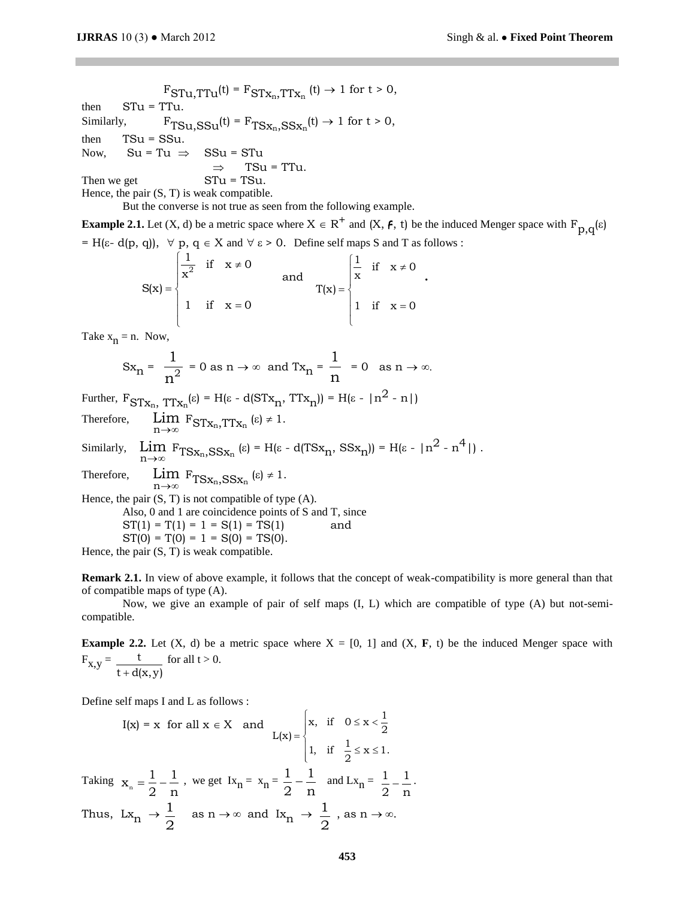$F_{STu,TTu}(t) = F_{STx_n,TTx_n}(t) \rightarrow 1$  for  $t > 0$ , then  $STu = TTu$ . Similarly,  $F_{TSu, SSu}(t) = F_{TSx_n, SSx_n}(t) \rightarrow 1$  for  $t > 0$ , then  $TSu = SSu$ . Now,  $Su = Tu \Rightarrow SSu = STu$  $\Rightarrow$  TSu = TTu. Then we get  $STu = TSu$ .

Hence, the pair (S, T) is weak compatible.

But the converse is not true as seen from the following example.

**Example 2.1.** Let  $(X, d)$  be a metric space where  $X \in R^+$  and  $(X, f, t)$  be the induced Menger space with  $F_{p,q}(\epsilon)$  $= H(\varepsilon - d(p, q)), \forall p, q \in X \text{ and } \forall \varepsilon > 0.$  Define self maps S and T as follows :

$$
S(x) = \begin{cases} \frac{1}{x^{2}} & \text{if } x \neq 0 \\ 1 & \text{if } x = 0 \end{cases} \quad \text{and} \quad T(x) = \begin{cases} \frac{1}{x} & \text{if } x \neq 0 \\ 1 & \text{if } x = 0 \end{cases}.
$$

Take  $x_n = n$ . Now,

$$
Sx_n = \frac{1}{n^2} = 0 \text{ as } n \to \infty \text{ and } Tx_n = \frac{1}{n} = 0 \text{ as } n \to \infty.
$$

Further,  $F_{STx_n}$ ,  $TTx_n(\epsilon) = H(\epsilon - d(STx_n, TTx_n)) = H(\epsilon - |n^2 - n|)$ 

Therefore, n Lim  $F_{STx_n,TTx_n}(\epsilon) \neq 1$ . Similarly, n Lim  $\lim_{n \to \infty} F_{T S x_n, S S x_n} (\varepsilon) = H(\varepsilon - d(T S x_n, S S x_n)) = H(\varepsilon - |n^2 - n^4|).$ Therefore, n→∞ Lim  $F_{T S x_n, S S x_n}(\epsilon) \neq 1$ . Hence, the pair  $(S, T)$  is not compatible of type  $(A)$ . Also, 0 and 1 are coincidence points of S and T, since  $ST(1) = T(1) = 1 = S(1) = TS(1)$  and  $ST(0) = T(0) = 1 = S(0) = TS(0)$ . Hence, the pair  $(S, T)$  is weak compatible.

**Remark 2.1.** In view of above example, it follows that the concept of weak-compatibility is more general than that of compatible maps of type (A).

Now, we give an example of pair of self maps (I, L) which are compatible of type (A) but not-semicompatible.

**Example 2.2.** Let  $(X, d)$  be a metric space where  $X = [0, 1]$  and  $(X, F, t)$  be the induced Menger space with  $F_{x,y} = \frac{t}{t + d(x,y)}$ for all  $t > 0$ .

Define self maps I and L as follows :

$$
I(x) = x \text{ for all } x \in X \text{ and } L(x) = \begin{cases} x, & \text{if } 0 \le x < \frac{1}{2} \\ 1, & \text{if } \frac{1}{2} \le x \le 1. \end{cases}
$$
\nTaking  $x_n = \frac{1}{2} - \frac{1}{n}$ , we get  $Ix_n = x_n = \frac{1}{2} - \frac{1}{n}$  and  $Lx_n = \frac{1}{2} - \frac{1}{n}$ .

\nThus,  $Lx_n \to \frac{1}{2}$  as  $n \to \infty$  and  $Ix_n \to \frac{1}{2}$ , as  $n \to \infty$ .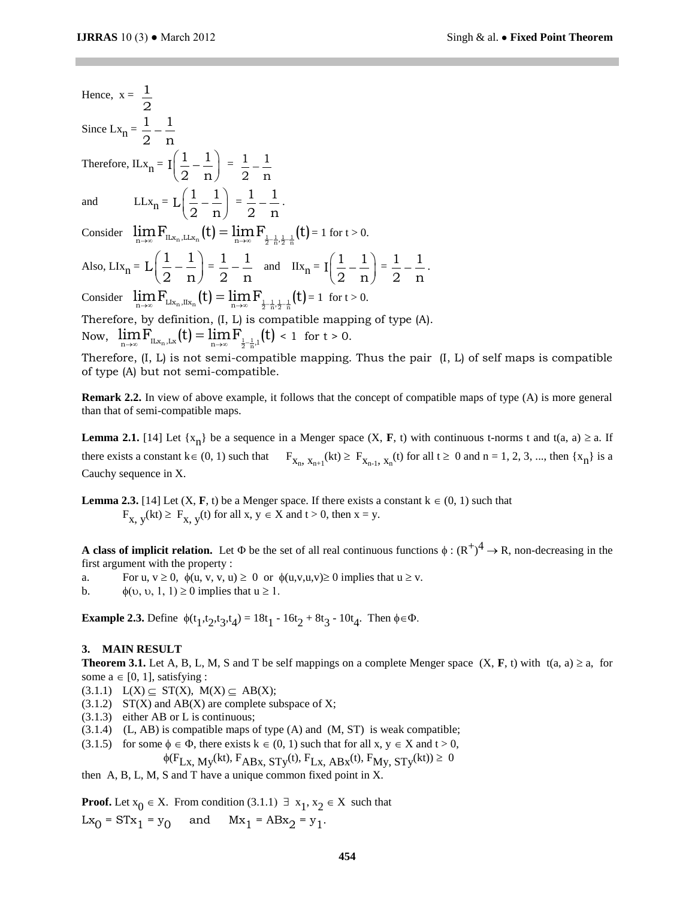Hence,  $x = \frac{1}{x}$ 2 Since  $\text{Lx}_n = \frac{1}{0} - \frac{1}{n}$ 2 n  $\overline{a}$ Therefore, ILx<sub>n</sub> =  $\left[\frac{1}{2} - \frac{1}{n}\right]$  $\left(\frac{1}{2} - \frac{1}{n}\right)$  $=$   $\frac{1}{-}$   $\frac{1}{-}$ 2 n  $\overline{a}$ and  $LLx_n = L\left(\frac{1}{0} - \frac{1}{n}\right)$  $\left(\frac{1}{2} - \frac{1}{n}\right)$  $=\frac{1}{-1}$ 2 n  $-\frac{1}{\cdot}$ . Consider  $\lim_{n\to\infty} F_{\text{ILx}_n,\text{LLx}_n} (t) = \lim_{n\to\infty} F_{\frac{1}{2} - \frac{1}{n}, \frac{1}{2} - \frac{1}{n}} (t) = 1$  for  $t > 0$ . Also, LIx<sub>n</sub> =  $L\left(\frac{1}{2} - \frac{1}{2}\right)$  $\left(\frac{1}{2} - \frac{1}{n}\right)$  $=\frac{1}{1} - \frac{1}{1}$  $\frac{1}{2} - \frac{1}{n}$  and  $\text{IIx}_n = \text{I}\left(\frac{1}{2} - \frac{1}{n}\right)$  $\left(\frac{1}{2} - \frac{1}{n}\right)$  $=$  $\frac{1}{-}$  $\frac{1}{-}$ 2 n  $-\frac{1}{\cdot}$ . Consider  $\lim_{n\to\infty} F_{Llx_n,IIlx_n}(t) = \lim_{n\to\infty} F_{\frac{1}{2} - \frac{1}{n},\frac{1}{2} - \frac{1}{n}}(t) = 1$  for  $t > 0$ . Therefore, by definition, (I, L) is compatible mapping of type (A). Therefore, by definition,  $(I, L)$  is compatible mapp Now,  $\lim_{n\to\infty} F_{\text{ILx}_n,\text{Lx}}(t) = \lim_{n\to\infty} F_{\frac{1}{2}-\frac{1}{n},1}(t) < 1$  for  $t > 0$ .

Therefore,  $(I, L)$  is not semi-compatible mapping. Thus the pair  $(I, L)$  of self maps is compatible of type (A) but not semi-compatible.

**Remark 2.2.** In view of above example, it follows that the concept of compatible maps of type (A) is more general than that of semi-compatible maps.

**Lemma 2.1.** [14] Let  $\{x_n\}$  be a sequence in a Menger space  $(X, F, t)$  with continuous t-norms t and  $t(a, a) \ge a$ . If there exists a constant  $k \in (0, 1)$  such that  $F_{X_n, X_{n+1}}(kt) \ge F_{X_{n-1}, X_n}(t)$  for all  $t \ge 0$  and  $n = 1, 2, 3, ...$ , then  $\{x_n\}$  is a Cauchy sequence in X.

**Lemma 2.3.** [14] Let  $(X, F, t)$  be a Menger space. If there exists a constant  $k \in (0, 1)$  such that  $F_{X, y}(kt) \ge F_{X, y}(t)$  for all  $x, y \in X$  and  $t > 0$ , then  $x = y$ .

**A class of implicit relation.** Let  $\Phi$  be the set of all real continuous functions  $\phi : (R^+)^4 \to R$ , non-decreasing in the first argument with the property :

a. For u,  $v \ge 0$ ,  $\phi(u, v, v, u) \ge 0$  or  $\phi(u, v, u, v) \ge 0$  implies that  $u \ge v$ .

b.  $\phi(\upsilon, \upsilon, 1, 1) \ge 0$  implies that  $u \ge 1$ .

**Example 2.3.** Define  $\phi(t_1, t_2, t_3, t_4) = 18t_1 - 16t_2 + 8t_3 - 10t_4$ . Then  $\phi \in \Phi$ .

#### **3. MAIN RESULT**

**Theorem 3.1.** Let A, B, L, M, S and T be self mappings on a complete Menger space  $(X, F, t)$  with  $t(a, a) \ge a$ , for some  $a \in [0, 1]$ , satisfying :

- $(3.1.1)$   $L(X) \subseteq ST(X)$ ,  $M(X) \subseteq AB(X)$ ;
- $(3.1.2)$  ST(X) and AB(X) are complete subspace of X;
- (3.1.3) either AB or L is continuous;
- $(3.1.4)$  (L, AB) is compatible maps of type (A) and (M, ST) is weak compatible;
- (3.1.5) for some  $\phi \in \Phi$ , there exists  $k \in (0, 1)$  such that for all  $x, y \in X$  and  $t > 0$ ,

$$
\phi(F_{Lx, My}(kt), F_{ABx, STy}(t), F_{Lx, ABx}(t), F_{My, STy}(kt)) \ge 0
$$

then A, B, L, M, S and T have a unique common fixed point in X.

**Proof.** Let  $x_0 \in X$ . From condition  $(3.1.1) \exists x_1, x_2 \in X$  such that  $Lx_0 = STx_1 = y_0$  and  $Mx_1 = ABx_2 = y_1$ .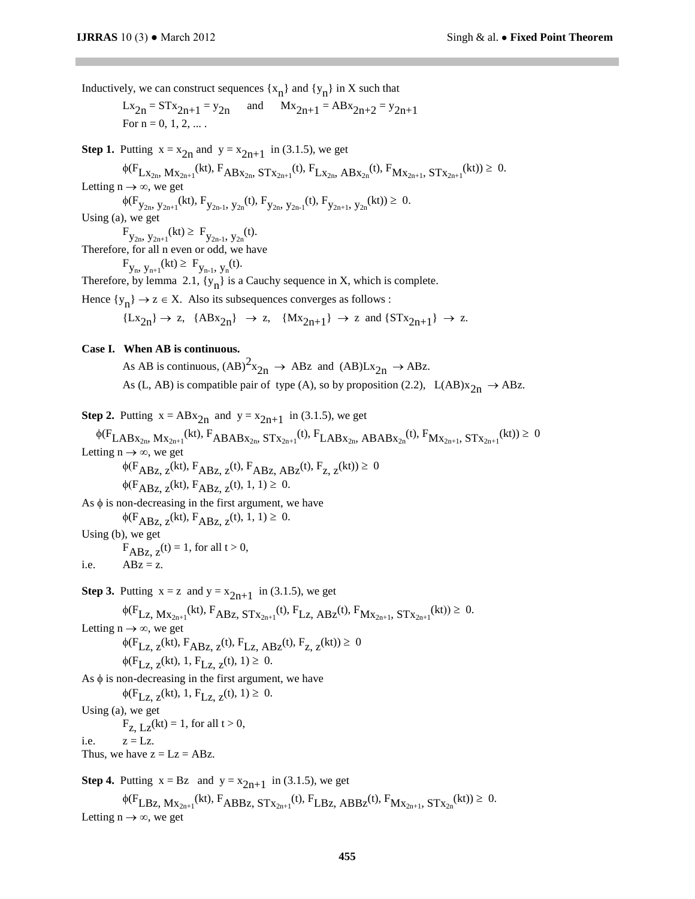Inductively, we can construct sequences  $\{x_n\}$  and  $\{y_n\}$  in X such that

$$
Lx_{2n} = STx_{2n+1} = y_{2n}
$$
 and  $Mx_{2n+1} = ABx_{2n+2} = y_{2n+1}$   
For n = 0, 1, 2, ...

**Step 1.** Putting  $x = x_{2n}$  and  $y = x_{2n+1}$  in (3.1.5), we get

 $\phi(F_{Lx_{2n}}, Mx_{2n+1}}(kt), F_{ABx_{2n}}, STx_{2n+1}}(t), F_{Lx_{2n}}, ABx_{2n}}(t), F_{Mx_{2n+1}}, STx_{2n+1}}(kt)) \geq 0.$ 

Letting  $n \to \infty$ , we get

 $\phi(F_{y_{2n}, y_{2n+1}}(kt), F_{y_{2n-1}, y_{2n}}(t), F_{y_{2n}, y_{2n-1}}(t), F_{y_{2n+1}, y_{2n}}(kt)) \geq 0.$ Using (a), we get

 $F_{y_{2n}, y_{2n+1}}(kt) \geq F_{y_{2n-1}, y_{2n}}(t).$ 

Therefore, for all n even or odd, we have

 $F_{y_n, y_{n+1}}(kt) \geq F_{y_{n-1}, y_n}(t)$ .

Therefore, by lemma 2.1,  $\{y_n\}$  is a Cauchy sequence in X, which is complete.

Hence  $\{y_n\} \to z \in X$ . Also its subsequences converges as follows :

 ${Lx_{2n}} \rightarrow z$ ,  ${ABx_{2n}} \rightarrow z$ ,  ${Mx_{2n+1}} \rightarrow z$  and  ${STx_{2n+1}} \rightarrow z$ .

#### **Case I. When AB is continuous.**

As AB is continuous,  $(AB)^2x_{2n} \rightarrow ABz$  and  $(AB)Lx_{2n} \rightarrow ABz$ . As (L, AB) is compatible pair of type (A), so by proposition (2.2), L(AB) $x_{2n} \rightarrow ABz$ .

**Step 2.** Putting 
$$
x = ABx_{2n}
$$
 and  $y = x_{2n+1}$  in (3.1.5), we get

 $\phi(F_{\text{LABX}_{2n}}, M_{X_{2n+1}}(kt), F_{\text{ABABX}_{2n}}, ST_{X_{2n+1}}(t), F_{\text{LABX}_{2n}}, ABAB_{X_{2n}}(t), F_{M_{X_{2n+1}}}, ST_{X_{2n+1}}(kt)) \geq 0$ Letting  $n \to \infty$ , we get

 $\label{eq:phi} \phi(\mathbf{F}_{\text{ABz, z}}(\text{kt}), \mathbf{F}_{\text{ABz, z}}(\text{t}), \mathbf{F}_{\text{ABz, ABz}}(\text{t}), \mathbf{F}_{\text{z, z}}(\text{kt})) \geq 0$  $\phi(F_{ABZ, z}(kt), F_{ABZ, z}(t), 1, 1) \ge 0.$ 

As  $\phi$  is non-decreasing in the first argument, we have

 $\phi(F_{ABZ, z}(kt), F_{ABZ, z}(t), 1, 1) \ge 0.$ 

Using (b), we get

 $F_{ABz, z}(t) = 1$ , for all  $t > 0$ ,

i.e.  $ABz = z$ .

**Step 3.** Putting  $x = z$  and  $y = x_{2n+1}$  in (3.1.5), we get

$$
\phi(F_{Lz, Mx_{2n+1}}(kt), F_{ABz, STx_{2n+1}}(t), F_{Lz, ABz}(t), F_{Mx_{2n+1}, STx_{2n+1}}(kt)) \ge 0.
$$

Letting  $n \rightarrow \infty$ , we get

 $\phi(F_{Lz, z}(kt), F_{ABz, z}(t), F_{Lz, ABz}(t), F_{z, z}(kt)) \ge 0$  $\phi(F_{Lz, z}(kt), 1, F_{Lz, z}(t), 1) \geq 0.$ 

As  $\phi$  is non-decreasing in the first argument, we have

 $\phi(F_{Lz, z}(kt), 1, F_{Lz, z}(t), 1) \geq 0.$ 

Using (a), we get  $F_{Z, LZ}(kt) = 1$ , for all  $t > 0$ ,

i.e.  $z = Lz$ .

Thus, we have  $z = Lz = ABz$ .

**Step 4.** Putting  $x = Bz$  and  $y = x_{2n+1}$  in (3.1.5), we get

 $\phi(F_{LBz, Mx_{2n+1}}(kt), F_{ABBz, STx_{2n+1}}(t), F_{LBz, ABBz}(t), F_{Mx_{2n+1}}, STx_{2n}}(kt)) \ge 0.$ Letting  $n \rightarrow \infty$ , we get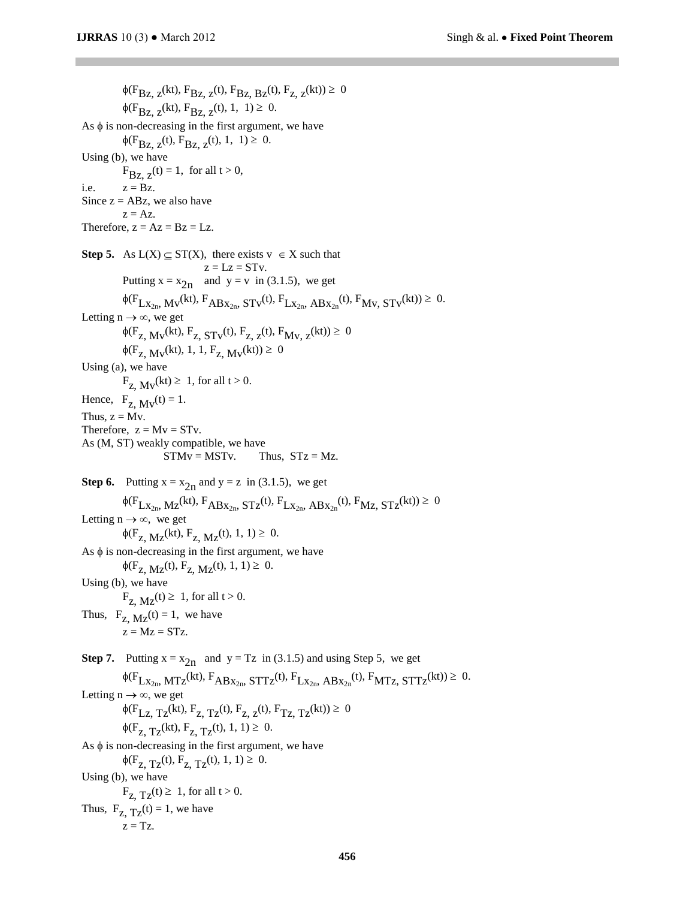$\phi(F_{BZ, Z}(\text{kt}), F_{BZ, Z}(\text{t}), F_{BZ, BZ}(\text{t}), F_{Z, Z}(\text{kt})) \ge 0$  $\phi(F_{\text{BZ Z}}(kt), F_{\text{BZ Z}}(t), 1, 1) \geq 0.$ As  $\phi$  is non-decreasing in the first argument, we have  $\phi(F_{\text{BZ, Z}}(t), F_{\text{BZ, Z}}(t), 1, 1) \geq 0.$ Using (b), we have  $F_{Bz, z}(t) = 1$ , for all  $t > 0$ , i.e.  $z = Bz$ . Since  $z = ABz$ , we also have  $z = Az$ . Therefore,  $z = Az = Bz = LZ$ . **Step 5.** As  $L(X) \subseteq ST(X)$ , there exists  $v \in X$  such that  $z = Lz = STv$ . Putting  $x = x_{2n}$  and  $y = v$  in (3.1.5), we get  $\phi(F_{Lx_{2n}}, M_v(kt), F_{ABx_{2n}}, ST_v(t), F_{Lx_{2n}}, ABx_{2n}(t), F_{Mv}, ST_v(kt)) \ge 0.$ Letting  $n \rightarrow \infty$ , we get  $\phi(F_{Z, M_V}(kt), F_{Z, STV}(t), F_{Z, Z}(t), F_{M_V, Z}(kt)) \ge 0$  $\phi(F_{Z, M_V}(kt), 1, 1, F_{Z, M_V}(kt)) \ge 0$ Using (a), we have  $F_{Z_1}$   $M_V(kt) \geq 1$ , for all  $t > 0$ . Hence,  $F_{Z_1} M_V(t) = 1$ . Thus,  $z = Mv$ . Therefore,  $z = Mv = STv$ . As (M, ST) weakly compatible, we have  $STMv = MSTv$ . Thus,  $STz = Mz$ . **Step 6.** Putting  $x = x_{2n}$  and  $y = z$  in (3.1.5), we get  $\phi(F_{Lx_{2n}}, M_{Z}(kt), F_{ABx_{2n}}, ST_{Z}(t), F_{Lx_{2n}}, ABx_{2n}(t), F_{MZ}, ST_{Z}(kt)) \geq 0$ Letting  $n \rightarrow \infty$ , we get  $\phi(F_{Z, MZ}(kt), F_{Z, MZ}(t), 1, 1) \ge 0.$ As  $\phi$  is non-decreasing in the first argument, we have  $\phi(F_{Z, MZ}(t), F_{Z, MZ}(t), 1, 1) \geq 0.$ Using (b), we have  $F_{Z_1} M_Z(t) \geq 1$ , for all  $t > 0$ . Thus,  $F_{Z_1 M_Z}(t) = 1$ , we have  $z = Mz = STz$ . **Step 7.** Putting  $x = x_{2n}$  and  $y = Tz$  in (3.1.5) and using Step 5, we get  $\phi(F_{Lx_{2n}}, MTz^{(kt)}, F_{ABx_{2n}}, STTz^{(t)}, F_{Lx_{2n}}, ABx_{2n}^{(t)}, F_{MTZ}, STTz^{(kt)}) \geq 0.$ Letting  $n \to \infty$ , we get  $\phi(F_{Lz, Tz}(kt), F_{z, Tz}(t), F_{z, z}(t), F_{Tz, Tz}(kt)) \ge 0$  $\phi(F_{Z, TZ}(kt), F_{Z, TZ}(t), 1, 1) \geq 0.$ As  $\phi$  is non-decreasing in the first argument, we have  $\phi(F_{Z, TZ}(t), F_{Z, TZ}(t), 1, 1) \geq 0.$ Using (b), we have  $F_{Z, TZ}(t) \geq 1$ , for all  $t > 0$ . Thus,  $F_{Z_1 TZ}(t) = 1$ , we have  $z = Tz$ .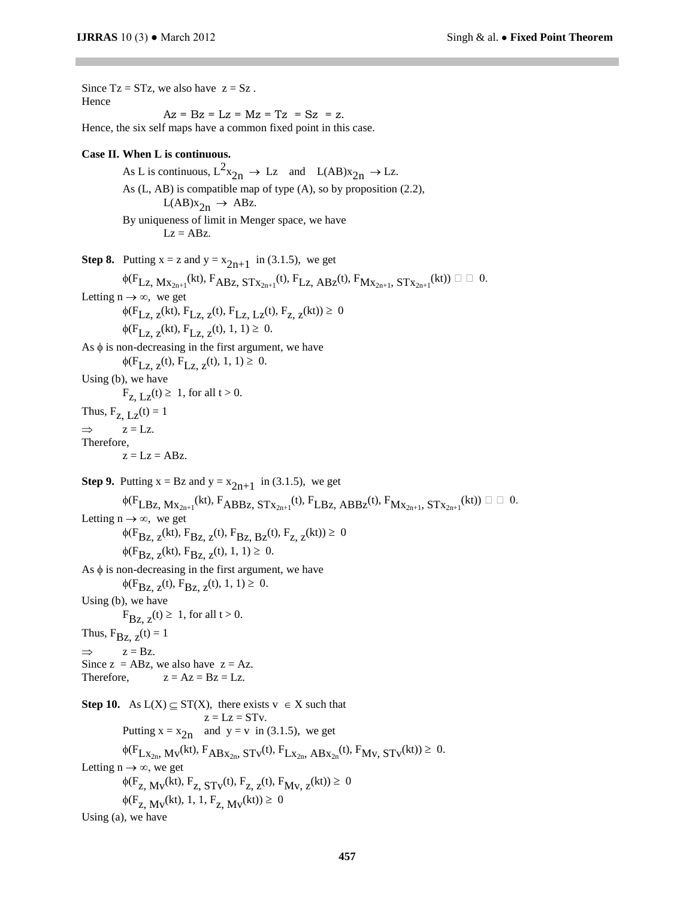Since  $Tz = STz$ , we also have  $z = Sz$ . Hence  $Az = Bz = Lz = Mz = Tz = Sz = z$ . Hence, the six self maps have a common fixed point in this case. **Case II. When L is continuous.** As L is continuous,  $L^2x_{2n} \rightarrow Lz$  and  $L(AB)x_{2n} \rightarrow Lz$ . As (L, AB) is compatible map of type (A), so by proposition (2.2),  $L(AB)x_{2n} \rightarrow ABz.$ By uniqueness of limit in Menger space, we have  $Lz = ABz$ . **Step 8.** Putting  $x = z$  and  $y = x_{2n+1}$  in (3.1.5), we get  $\phi(F_{\text{Lz, Mx}_{2n+1}}(kt), F_{\text{ABz, STx}_{2n+1}}(t), F_{\text{Lz, ABz}}(t), F_{\text{Mx}_{2n+1}}, ST_{X_{2n+1}}(kt)) \square \square 0.$ Letting  $n \rightarrow \infty$ , we get  $\phi(F_{Lz, z}(kt), F_{Lz, z}(t), F_{Lz, Lz}(t), F_{z, z}(kt)) \ge 0$  $\phi(F_{Lz, z}(kt), F_{Lz, z}(t), 1, 1) \geq 0.$ As  $\phi$  is non-decreasing in the first argument, we have  $\phi(F_{\text{LZ Z}}(t), F_{\text{LZ Z}}(t), 1, 1) \geq 0.$ Using (b), we have  $F_{Z_L}$   $I_Z(t) \geq 1$ , for all  $t > 0$ . Thus,  $F_{Z, LZ}(t) = 1$  $\Rightarrow$  z = Lz. Therefore,  $z = Lz = ABz$ . **Step 9.** Putting  $x = Bz$  and  $y = x_{2n+1}$  in (3.1.5), we get  $\phi(F_{\text{LBz, Mx}_{2n+1}}(kt), F_{\text{ABBz, STx}_{2n+1}}(t), F_{\text{LBz, ABBz}}(t), F_{\text{Mx}_{2n+1}}, ST_{x_{2n+1}}(kt)) \square \square 0.$ Letting  $n \rightarrow \infty$ , we get  $\phi(F_{BZ, z}(kt), F_{BZ, z}(t), F_{BZ, BZ}(t), F_{Z, z}(kt)) \ge 0$  $\phi(F_{BZ, Z}(kt), F_{BZ, Z}(t), 1, 1) \geq 0.$ As  $\phi$  is non-decreasing in the first argument, we have  $\phi(F_{BZ, Z}(t), F_{BZ, Z}(t), 1, 1) \geq 0.$ Using (b), we have  $F_{\text{Bz, }z}(t) \geq 1$ , for all  $t > 0$ . Thus,  $F_{BZ, z}(t) = 1$  $\Rightarrow$  z = Bz. Since  $z = ABz$ , we also have  $z = Az$ . Therefore,  $z = Az = Bz = LZ$ . **Step 10.** As  $L(X) \subseteq ST(X)$ , there exists  $v \in X$  such that  $z = Lz = STv$ . Putting  $x = x_{2n}$  and  $y = v$  in (3.1.5), we get  $\phi(F_{Lx_{2n}}, M_v(kt), F_{ABx_{2n}}, ST_v(t), F_{Lx_{2n}}, ABx_{2n}(t), F_{Mv}, ST_v(kt)) \ge 0.$ Letting  $n \to \infty$ , we get  $\phi(F_{Z, M_V}(kt), F_{Z, STV}(t), F_{Z, Z}(t), F_{M_V, Z}(kt)) \ge 0$  $\phi(F_{Z, M_V}(kt), 1, 1, F_{Z, M_V}(kt)) \ge 0$ Using (a), we have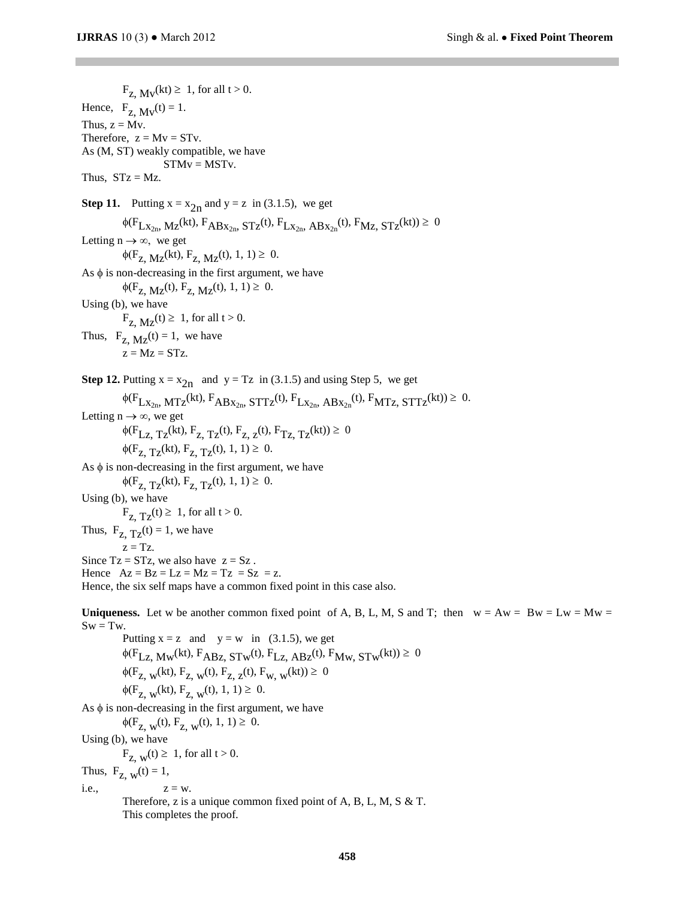$F_{z}$  M<sub>v</sub>(kt)  $\geq 1$ , for all t > 0. Hence,  $F_{Z_1} M_V(t) = 1$ . Thus,  $z = Mv$ . Therefore,  $z = Mv = STv$ . As (M, ST) weakly compatible, we have  $STMv = MSTv$ . Thus,  $STz = Mz$ . **Step 11.** Putting  $x = x_{2n}$  and  $y = z$  in (3.1.5), we get  $\phi(F_{Lx_{2n}}, M_z(kt), F_{ABx_{2n}}, ST_z(t), F_{Lx_{2n}}, ABx_{2n}(t), F_{Mz}, ST_z(kt)) \ge 0$ Letting  $n \to \infty$ , we get  $\phi(F_{Z_1} M_Z(kt), F_{Z_1} M_Z(t), 1, 1) \geq 0.$ As  $\phi$  is non-decreasing in the first argument, we have  $\phi(F_{Z_1} M_Z(t), F_{Z_1} M_Z(t), 1, 1) \geq 0.$ Using (b), we have  $F_{Z, MZ}(t) \geq 1$ , for all  $t > 0$ . Thus,  $F_{Z_1 M_Z}(t) = 1$ , we have  $z = Mz = STz$ . **Step 12.** Putting  $x = x_{2n}$  and  $y = Tz$  in (3.1.5) and using Step 5, we get  $\phi(F_{Lx_{2n}}, MTz^{(kt)}, F_{ABx_{2n}}, STTz^{(t)}, F_{Lx_{2n}}, ABx_{2n}^{(t)}, F_{MTZ}, STTz^{(kt)}) \geq 0.$ Letting  $n \to \infty$ , we get  $\phi(F_{Lz}, Tz(kt), F_{z}, Tz(t), F_{z, z}(t), F_{Tz, Tz}(kt)) \ge 0$  $\phi(F_{Z, T_{Z}}(kt), F_{Z, T_{Z}}(t), 1, 1) \geq 0.$ As  $\phi$  is non-decreasing in the first argument, we have  $\phi(F_{Z, TZ}(kt), F_{Z, TZ}(t), 1, 1) \geq 0.$ Using (b), we have  $F_{Z, Tz}(t) \geq 1$ , for all  $t > 0$ . Thus,  $F_{Z_1}T_Z(t) = 1$ , we have  $z = Tz$ . Since  $Tz = STz$ , we also have  $z = Sz$ . Hence  $Az = Bz = Lz = Mz = Tz = Sz = z$ . Hence, the six self maps have a common fixed point in this case also. **Uniqueness.** Let w be another common fixed point of A, B, L, M, S and T; then  $w = Aw = Dw = LW = Mw =$  $Sw = Tw.$ Putting  $x = z$  and  $y = w$  in (3.1.5), we get  $\phi(F_{Lz}$ , Mw<sup>(kt), F<sub>ABz</sub>, STw<sup>(t), F</sup><sub>Lz</sub>, ABz<sup>(t), F</sup>Mw, STw<sup>(kt))</sup>  $\geq 0$ </sup>  $\phi(F_{Z, w}(kt), F_{Z, w}(t), F_{Z, z}(t), F_{W, w}(kt)) \ge 0$  $\phi(F_{Z, w}(kt), F_{Z, w}(t), 1, 1) \ge 0.$ As  $\phi$  is non-decreasing in the first argument, we have  $\phi(F_{Z, w}(t), F_{Z, w}(t), 1, 1) \geq 0.$ Using (b), we have  $F_{Z, w}(t) \geq 1$ , for all  $t > 0$ . Thus,  $F_{Z, w}(t) = 1$ , i.e.,  $z = w$ . Therefore, z is a unique common fixed point of A, B, L, M, S & T. This completes the proof.